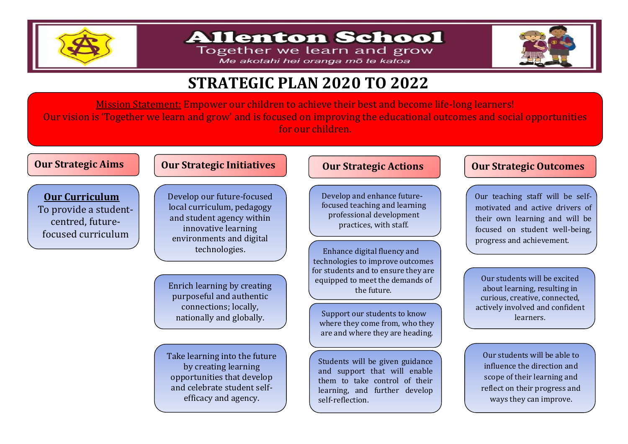

## **Allenton School**

Together we learn and grow Me akotahi hei oranga mō te katoa



# **STRATEGIC PLAN 2020 TO 2022**

Mission Statement: Empower our children to achieve their best and become life-long learners! Our vision is 'Together we learn and grow' and is focused on improving the educational outcomes and social opportunities for our children.

### **Our Strategic Aims Our Strategic Initiatives**

**Our Curriculum** To provide a studentcentred, futurefocused curriculum

Develop our future-focused local curriculum, pedagogy and student agency within innovative learning environments and digital technologies.

Enrich learning by creating purposeful and authentic connections; locally,

Take learning into the future by creating learning opportunities that develop and celebrate student selfefficacy and agency.

### **Our Strategic Actions**

Develop and enhance futurefocused teaching and learning professional development practices, with staff.

Enhance digital fluency and technologies to improve outcomes for students and to ensure they are equipped to meet the demands of the future.

nationally and globally. Support our students to know where they come from, who they are and where they are heading.

> Students will be given guidance and support that will enable them to take control of their learning, and further develop self-reflection.

### **Our Strategic Outcomes**

 Our teaching staff will be selfmotivated and active drivers of their own learning and will be focused on student well-being, progress and achievement.

Our students will be excited about learning, resulting in curious, creative, connected, actively involved and confident learners.

Our students will be able to influence the direction and scope of their learning and reflect on their progress and ways they can improve.